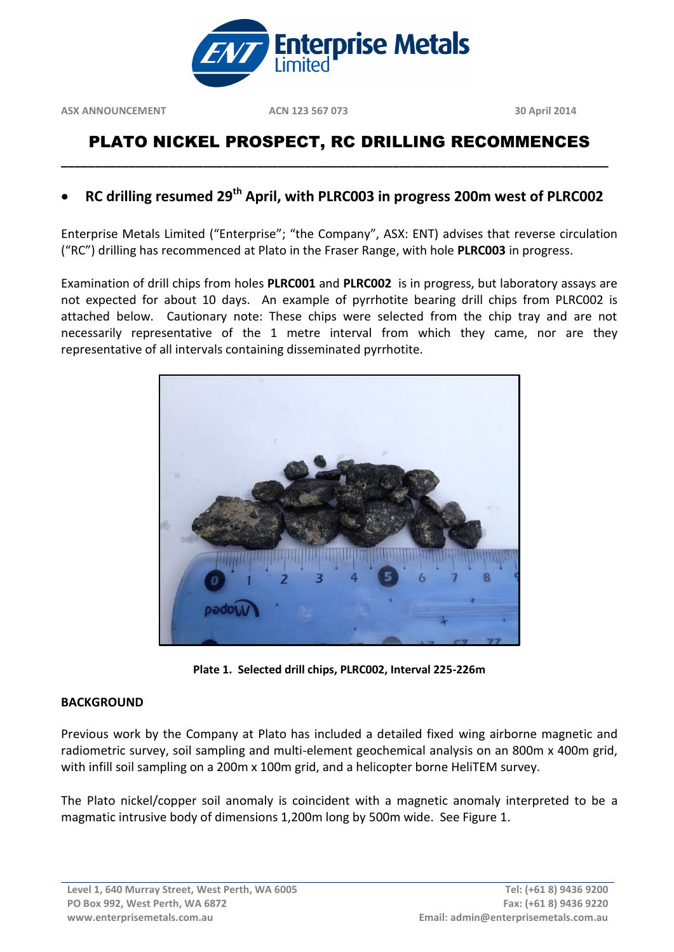

**ASX ANNOUNCEMENT ACN 123 567 073 30 April 2014**

# PLATO NICKEL PROSPECT, RC DRILLING RECOMMENCES

## **RC drilling resumed 29th April, with PLRC003 in progress 200m west of PLRC002**

**\_\_\_\_\_\_\_\_\_\_\_\_\_\_\_\_\_\_\_\_\_\_\_\_\_\_\_\_\_\_\_\_\_\_\_\_\_\_\_\_\_\_\_\_\_\_\_\_\_\_\_\_\_\_\_\_\_\_\_\_\_\_\_\_\_\_\_\_\_\_\_\_\_\_\_\_\_\_\_\_\_**

Enterprise Metals Limited ("Enterprise"; "the Company", ASX: ENT) advises that reverse circulation ("RC") drilling has recommenced at Plato in the Fraser Range, with hole **PLRC003** in progress.

Examination of drill chips from holes **PLRC001** and **PLRC002** is in progress, but laboratory assays are not expected for about 10 days. An example of pyrrhotite bearing drill chips from PLRC002 is attached below. Cautionary note: These chips were selected from the chip tray and are not necessarily representative of the 1 metre interval from which they came, nor are they representative of all intervals containing disseminated pyrrhotite.



**Plate 1. Selected drill chips, PLRC002, Interval 225-226m**

### **BACKGROUND**

Previous work by the Company at Plato has included a detailed fixed wing airborne magnetic and radiometric survey, soil sampling and multi-element geochemical analysis on an 800m x 400m grid, with infill soil sampling on a 200m x 100m grid, and a helicopter borne HeliTEM survey.

The Plato nickel/copper soil anomaly is coincident with a magnetic anomaly interpreted to be a magmatic intrusive body of dimensions 1,200m long by 500m wide. See Figure 1.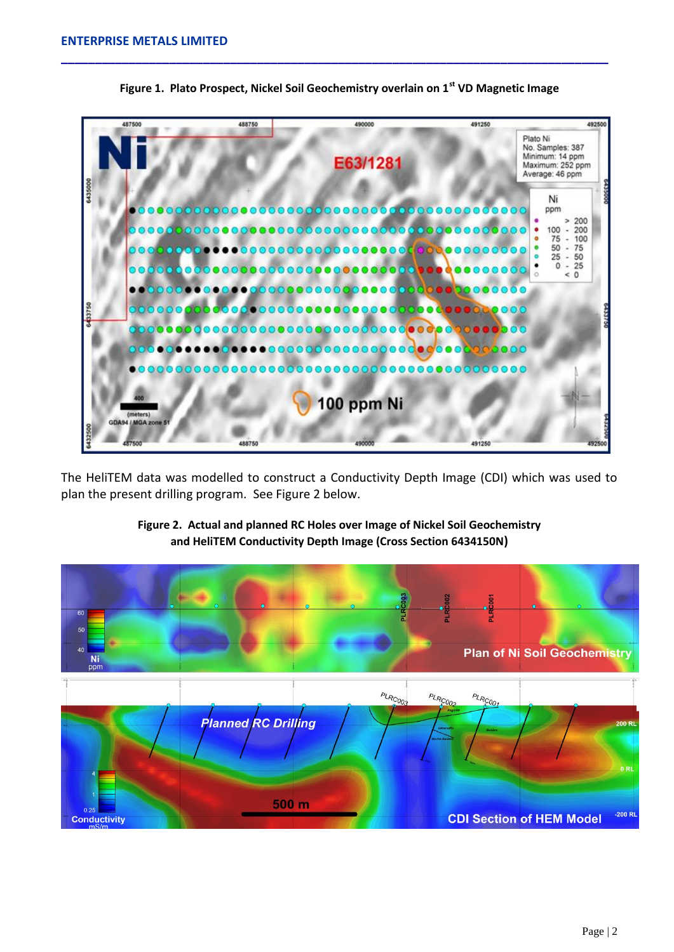

**Figure 1. Plato Prospect, Nickel Soil Geochemistry overlain on 1st VD Magnetic Image**

**\_\_\_\_\_\_\_\_\_\_\_\_\_\_\_\_\_\_\_\_\_\_\_\_\_\_\_\_\_\_\_\_\_\_\_\_\_\_\_\_\_\_\_\_\_\_\_\_\_\_\_\_\_\_\_\_\_\_\_\_\_\_\_\_\_\_\_\_\_\_\_\_\_\_\_\_\_\_\_\_\_**

The HeliTEM data was modelled to construct a Conductivity Depth Image (CDI) which was used to plan the present drilling program. See Figure 2 below.



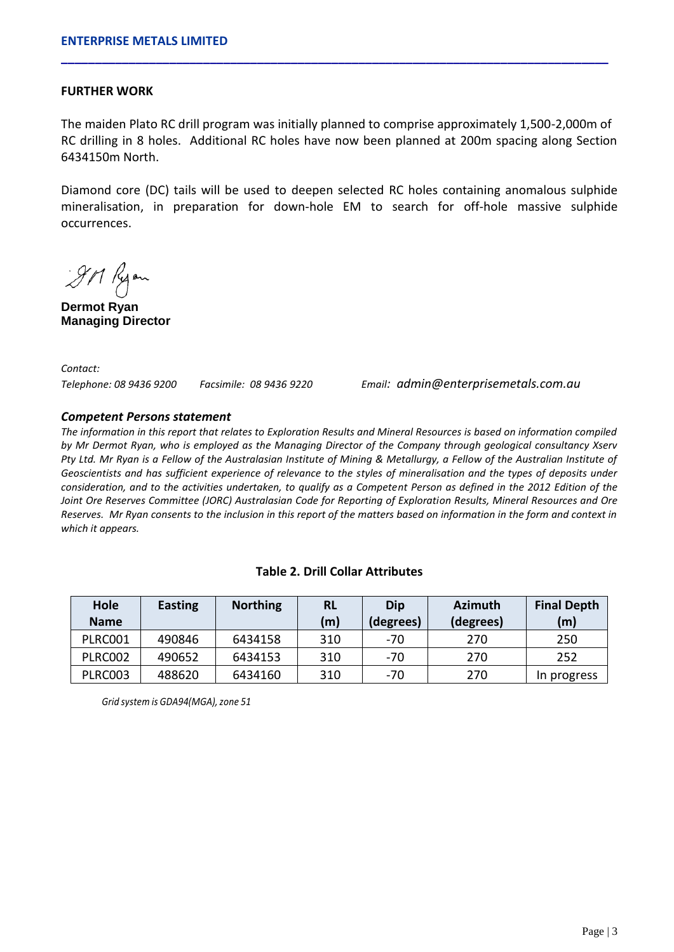#### **FURTHER WORK**

The maiden Plato RC drill program was initially planned to comprise approximately 1,500-2,000m of RC drilling in 8 holes. Additional RC holes have now been planned at 200m spacing along Section 6434150m North.

**\_\_\_\_\_\_\_\_\_\_\_\_\_\_\_\_\_\_\_\_\_\_\_\_\_\_\_\_\_\_\_\_\_\_\_\_\_\_\_\_\_\_\_\_\_\_\_\_\_\_\_\_\_\_\_\_\_\_\_\_\_\_\_\_\_\_\_\_\_\_\_\_\_\_\_\_\_\_\_\_\_**

Diamond core (DC) tails will be used to deepen selected RC holes containing anomalous sulphide mineralisation, in preparation for down-hole EM to search for off-hole massive sulphide occurrences.

911 Ryon

**Dermot Ryan Managing Director**

*Contact:* 

*Telephone: 08 9436 9200 Facsimile: 08 9436 9220 Email: admin@enterprisemetals.com.au*

*Competent Persons statement*

*The information in this report that relates to Exploration Results and Mineral Resources is based on information compiled by Mr Dermot Ryan, who is employed as the Managing Director of the Company through geological consultancy Xserv Pty Ltd. Mr Ryan is a Fellow of the Australasian Institute of Mining & Metallurgy, a Fellow of the Australian Institute of Geoscientists and has sufficient experience of relevance to the styles of mineralisation and the types of deposits under consideration, and to the activities undertaken, to qualify as a Competent Person as defined in the 2012 Edition of the Joint Ore Reserves Committee (JORC) Australasian Code for Reporting of Exploration Results, Mineral Resources and Ore Reserves. Mr Ryan consents to the inclusion in this report of the matters based on information in the form and context in which it appears.*

| Hole           | <b>Easting</b> | <b>Northing</b> | <b>RL</b> | Dip       | <b>Azimuth</b> | <b>Final Depth</b> |
|----------------|----------------|-----------------|-----------|-----------|----------------|--------------------|
| <b>Name</b>    |                |                 | (m)       | (degrees) | (degrees)      | (m)                |
| <b>PLRC001</b> | 490846         | 6434158         | 310       | -70       | 270            | 250                |
| <b>PLRC002</b> | 490652         | 6434153         | 310       | -70       | 270            | 252                |
| <b>PLRC003</b> | 488620         | 6434160         | 310       | -70       | 270            | In progress        |

#### **Table 2. Drill Collar Attributes**

*Grid system is GDA94(MGA),zone 51*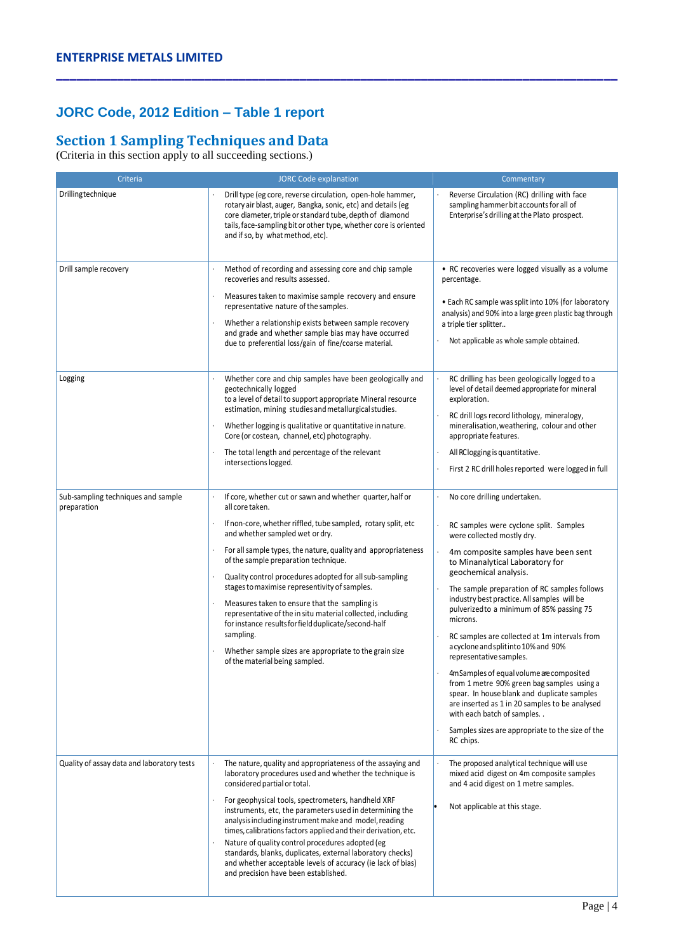# **JORC Code, 2012 Edition – Table 1 report**

### **Section 1 Sampling Techniques and Data**

(Criteria in this section apply to all succeeding sections.)

| Criteria                                          | <b>JORC Code explanation</b>                                                                                                                                                                                                                                                                                                                                                                                                                                                                                                                                                                                                                                                           | Commentary                                                                                                                                                                                                                                                                                                                                                                                                                                                                                                                                                                                                                                                                                                                                                                    |  |  |
|---------------------------------------------------|----------------------------------------------------------------------------------------------------------------------------------------------------------------------------------------------------------------------------------------------------------------------------------------------------------------------------------------------------------------------------------------------------------------------------------------------------------------------------------------------------------------------------------------------------------------------------------------------------------------------------------------------------------------------------------------|-------------------------------------------------------------------------------------------------------------------------------------------------------------------------------------------------------------------------------------------------------------------------------------------------------------------------------------------------------------------------------------------------------------------------------------------------------------------------------------------------------------------------------------------------------------------------------------------------------------------------------------------------------------------------------------------------------------------------------------------------------------------------------|--|--|
| Drillingtechnique                                 | Drill type (eg core, reverse circulation, open-hole hammer,<br>rotary air blast, auger, Bangka, sonic, etc) and details (eg<br>core diameter, triple or standard tube, depth of diamond<br>tails, face-sampling bit or other type, whether core is oriented<br>and if so, by what method, etc).                                                                                                                                                                                                                                                                                                                                                                                        | Reverse Circulation (RC) drilling with face<br>sampling hammer bit accounts for all of<br>Enterprise's drilling at the Plato prospect.                                                                                                                                                                                                                                                                                                                                                                                                                                                                                                                                                                                                                                        |  |  |
| Drill sample recovery                             | Method of recording and assessing core and chip sample<br>recoveries and results assessed.<br>Measures taken to maximise sample recovery and ensure<br>representative nature of the samples.<br>Whether a relationship exists between sample recovery<br>and grade and whether sample bias may have occurred<br>due to preferential loss/gain of fine/coarse material.                                                                                                                                                                                                                                                                                                                 | • RC recoveries were logged visually as a volume<br>percentage.<br>• Each RC sample was split into 10% (for laboratory<br>analysis) and 90% into a large green plastic bag through<br>a triple tier splitter<br>Not applicable as whole sample obtained.                                                                                                                                                                                                                                                                                                                                                                                                                                                                                                                      |  |  |
| Logging                                           | Whether core and chip samples have been geologically and<br>geotechnically logged<br>to a level of detail to support appropriate Mineral resource<br>estimation, mining studies and metallurgical studies.<br>Whether logging is qualitative or quantitative in nature.<br>Core (or costean, channel, etc) photography.<br>The total length and percentage of the relevant<br>intersections logged.                                                                                                                                                                                                                                                                                    | RC drilling has been geologically logged to a<br>level of detail deemed appropriate for mineral<br>exploration.<br>RC drill logs record lithology, mineralogy,<br>mineralisation, weathering, colour and other<br>appropriate features.<br>All RClogging is quantitative.<br>First 2 RC drill holes reported were logged in full                                                                                                                                                                                                                                                                                                                                                                                                                                              |  |  |
| Sub-sampling techniques and sample<br>preparation | If core, whether cut or sawn and whether quarter, half or<br>all core taken.<br>If non-core, whether riffled, tube sampled, rotary split, etc<br>and whether sampled wet or dry.<br>For all sample types, the nature, quality and appropriateness<br>of the sample preparation technique.<br>Quality control procedures adopted for all sub-sampling<br>stages to maximise representivity of samples.<br>Measures taken to ensure that the sampling is<br>representative of the in situ material collected, including<br>for instance results for field duplicate/second-half<br>sampling.<br>Whether sample sizes are appropriate to the grain size<br>of the material being sampled. | No core drilling undertaken.<br>RC samples were cyclone split. Samples<br>were collected mostly dry.<br>4m composite samples have been sent<br>to Minanalytical Laboratory for<br>geochemical analysis.<br>The sample preparation of RC samples follows<br>industry best practice. All samples will be<br>pulverized to a minimum of 85% passing 75<br>microns.<br>RC samples are collected at 1m intervals from<br>a cyclone and split into 10% and 90%<br>representative samples.<br>4mSamples of equal volume are composited<br>from 1 metre 90% green bag samples using a<br>spear. In house blank and duplicate samples<br>are inserted as 1 in 20 samples to be analysed<br>with each batch of samples<br>Samples sizes are appropriate to the size of the<br>RC chips. |  |  |
| Quality of assay data and laboratory tests        | The nature, quality and appropriateness of the assaying and<br>laboratory procedures used and whether the technique is<br>considered partial or total.<br>For geophysical tools, spectrometers, handheld XRF<br>instruments, etc, the parameters used in determining the<br>analysis including instrument make and model, reading<br>times, calibrations factors applied and their derivation, etc.<br>Nature of quality control procedures adopted (eg<br>standards, blanks, duplicates, external laboratory checks)<br>and whether acceptable levels of accuracy (ie lack of bias)<br>and precision have been established.                                                           | The proposed analytical technique will use<br>mixed acid digest on 4m composite samples<br>and 4 acid digest on 1 metre samples.<br>Not applicable at this stage.                                                                                                                                                                                                                                                                                                                                                                                                                                                                                                                                                                                                             |  |  |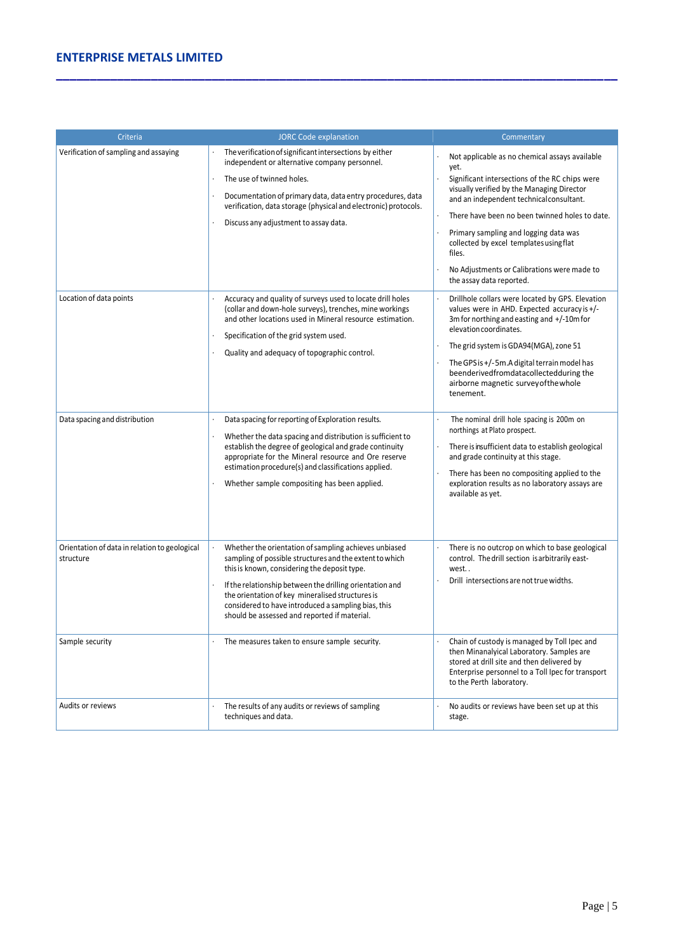### **ENTERPRISE METALS LIMITED**

| Criteria                                                   | <b>JORC Code explanation</b>                                                                                                                                                                                                                                                                                                                                                            | Commentary                                                                                                                                                                                                                                                                                                                                                                                                                    |  |
|------------------------------------------------------------|-----------------------------------------------------------------------------------------------------------------------------------------------------------------------------------------------------------------------------------------------------------------------------------------------------------------------------------------------------------------------------------------|-------------------------------------------------------------------------------------------------------------------------------------------------------------------------------------------------------------------------------------------------------------------------------------------------------------------------------------------------------------------------------------------------------------------------------|--|
| Verification of sampling and assaying                      | The verification of significant intersections by either<br>independent or alternative company personnel.<br>The use of twinned holes.<br>Documentation of primary data, data entry procedures, data<br>verification, data storage (physical and electronic) protocols.<br>Discuss any adjustment to assay data.                                                                         | Not applicable as no chemical assays available<br>yet.<br>Significant intersections of the RC chips were<br>visually verified by the Managing Director<br>and an independent technical consultant.<br>There have been no been twinned holes to date.<br>Primary sampling and logging data was<br>collected by excel templates using flat<br>files.<br>No Adjustments or Calibrations were made to<br>the assay data reported. |  |
| Location of data points                                    | Accuracy and quality of surveys used to locate drill holes<br>(collar and down-hole surveys), trenches, mine workings<br>and other locations used in Mineral resource estimation.<br>Specification of the grid system used.<br>Quality and adequacy of topographic control.                                                                                                             | Drillhole collars were located by GPS. Elevation<br>values were in AHD. Expected accuracy is +/-<br>3m for northing and easting and +/-10m for<br>elevation coordinates.<br>The grid system is GDA94(MGA), zone 51<br>The GPS is +/-5m.A digital terrain model has<br>beenderivedfromdatacollectedduring the<br>airborne magnetic survey of the whole<br>tenement.                                                            |  |
| Data spacing and distribution                              | Data spacing for reporting of Exploration results.<br>Whether the data spacing and distribution is sufficient to<br>establish the degree of geological and grade continuity<br>appropriate for the Mineral resource and Ore reserve<br>estimation procedure(s) and classifications applied.<br>Whether sample compositing has been applied.                                             | The nominal drill hole spacing is 200m on<br>northings at Plato prospect.<br>There is insufficient data to establish geological<br>and grade continuity at this stage.<br>There has been no compositing applied to the<br>exploration results as no laboratory assays are<br>available as yet.                                                                                                                                |  |
| Orientation of data in relation to geological<br>structure | Whether the orientation of sampling achieves unbiased<br>sampling of possible structures and the extent to which<br>this is known, considering the deposit type.<br>If the relationship between the drilling orientation and<br>the orientation of key mineralised structures is<br>considered to have introduced a sampling bias, this<br>should be assessed and reported if material. | There is no outcrop on which to base geological<br>control. The drill section is arbitrarily east-<br>west<br>Drill intersections are not true widths.                                                                                                                                                                                                                                                                        |  |
| Sample security                                            | The measures taken to ensure sample security.                                                                                                                                                                                                                                                                                                                                           | Chain of custody is managed by Toll Ipec and<br>then Minanalyical Laboratory. Samples are<br>stored at drill site and then delivered by<br>Enterprise personnel to a Toll Ipec for transport<br>to the Perth laboratory.                                                                                                                                                                                                      |  |
| Audits or reviews                                          | The results of any audits or reviews of sampling<br>techniques and data.                                                                                                                                                                                                                                                                                                                | No audits or reviews have been set up at this<br>stage.                                                                                                                                                                                                                                                                                                                                                                       |  |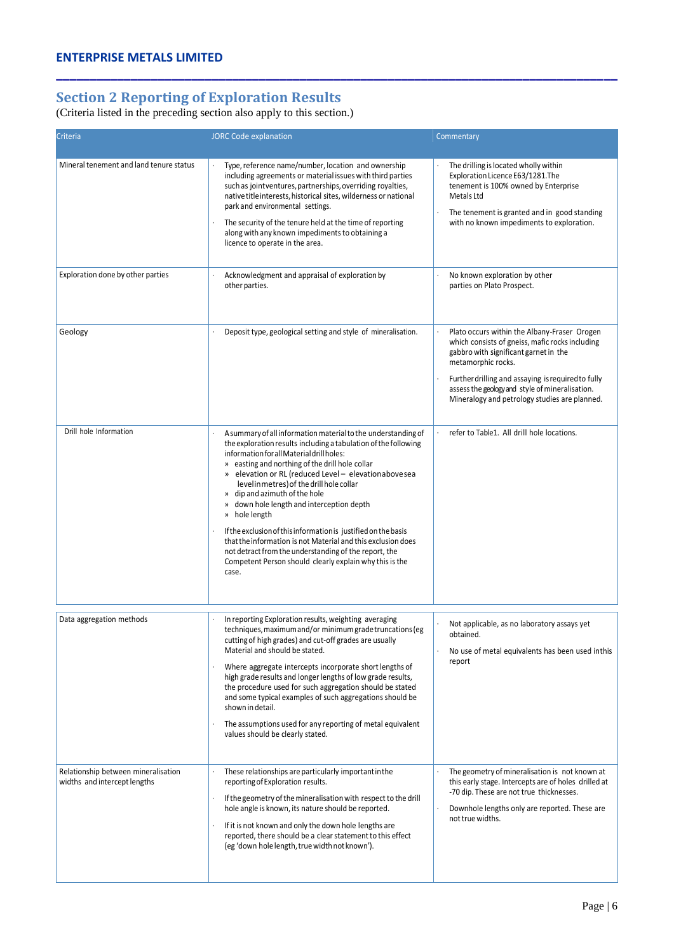## **Section 2 Reporting of Exploration Results**

(Criteria listed in the preceding section also apply to this section.)

| Criteria                                                            | <b>JORC Code explanation</b>                                                                                                                                                                                                                                                                                                                                                                                                                                                                                                                                                                                                                                                                              | Commentary                                                                                                                                                                                                                                                                                                               |
|---------------------------------------------------------------------|-----------------------------------------------------------------------------------------------------------------------------------------------------------------------------------------------------------------------------------------------------------------------------------------------------------------------------------------------------------------------------------------------------------------------------------------------------------------------------------------------------------------------------------------------------------------------------------------------------------------------------------------------------------------------------------------------------------|--------------------------------------------------------------------------------------------------------------------------------------------------------------------------------------------------------------------------------------------------------------------------------------------------------------------------|
| Mineral tenement and land tenure status                             | Type, reference name/number, location and ownership<br>including agreements or material issues with third parties<br>such as jointventures, partnerships, overriding royalties,<br>native title interests, historical sites, wilderness or national<br>park and environmental settings.<br>The security of the tenure held at the time of reporting<br>along with any known impediments to obtaining a<br>licence to operate in the area.                                                                                                                                                                                                                                                                 | The drilling is located wholly within<br>Exploration Licence E63/1281.The<br>tenement is 100% owned by Enterprise<br>Metals Ltd<br>The tenement is granted and in good standing<br>with no known impediments to exploration.                                                                                             |
| Exploration done by other parties                                   | Acknowledgment and appraisal of exploration by<br>other parties.                                                                                                                                                                                                                                                                                                                                                                                                                                                                                                                                                                                                                                          | No known exploration by other<br>parties on Plato Prospect.                                                                                                                                                                                                                                                              |
| Geology                                                             | Deposit type, geological setting and style of mineralisation.                                                                                                                                                                                                                                                                                                                                                                                                                                                                                                                                                                                                                                             | Plato occurs within the Albany-Fraser Orogen<br>which consists of gneiss, mafic rocks including<br>gabbro with significant garnet in the<br>metamorphic rocks.<br>Further drilling and assaying is required to fully<br>assess the geology and style of mineralisation.<br>Mineralogy and petrology studies are planned. |
| Drill hole Information                                              | A summary of all information material to the understanding of<br>the exploration results including a tabulation of the following<br>information for all Material drill holes:<br>» easting and northing of the drill hole collar<br>» elevation or RL (reduced Level - elevation above sea<br>level in metres) of the drill hole collar<br>» dip and azimuth of the hole<br>down hole length and interception depth<br>>><br>» hole length<br>If the exclusion of this information is justified on the basis<br>that the information is not Material and this exclusion does<br>not detract from the understanding of the report, the<br>Competent Person should clearly explain why this is the<br>case. | refer to Table1. All drill hole locations.                                                                                                                                                                                                                                                                               |
| Data aggregation methods                                            | In reporting Exploration results, weighting averaging<br>techniques, maximum and/or minimum grade truncations (eg<br>cutting of high grades) and cut-off grades are usually<br>Material and should be stated.<br>Where aggregate intercepts incorporate short lengths of<br>high grade results and longer lengths of low grade results,<br>the procedure used for such aggregation should be stated<br>and some typical examples of such aggregations should be<br>shown in detail.<br>The assumptions used for any reporting of metal equivalent<br>values should be clearly stated.                                                                                                                     | Not applicable, as no laboratory assays yet<br>obtained.<br>No use of metal equivalents has been used in this<br>report                                                                                                                                                                                                  |
| Relationship between mineralisation<br>widths and intercept lengths | These relationships are particularly important in the<br>reporting of Exploration results.<br>If the geometry of the mineralisation with respect to the drill<br>hole angle is known, its nature should be reported.<br>If it is not known and only the down hole lengths are<br>reported, there should be a clear statement to this effect<br>(eg 'down hole length, true width not known').                                                                                                                                                                                                                                                                                                             | The geometry of mineralisation is not known at<br>this early stage. Intercepts are of holes drilled at<br>-70 dip. These are not true thicknesses.<br>Downhole lengths only are reported. These are<br>not true widths.                                                                                                  |